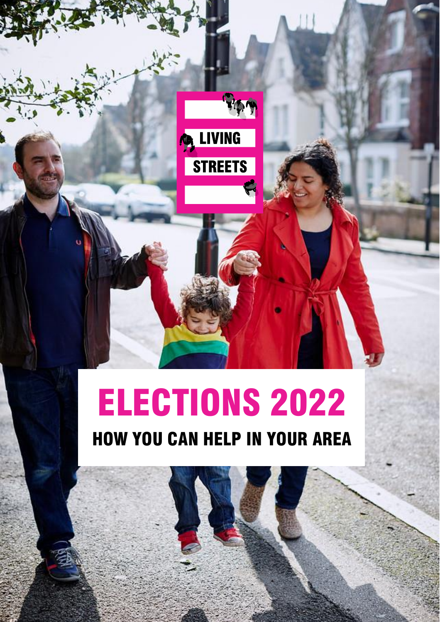

Living Streets | Supporters Briefing – Local Elections 2021 0

**Co.** LIVING

**STREETS** 

**FIRM** 

HOW YOU CAN HELP IN YOUR AREA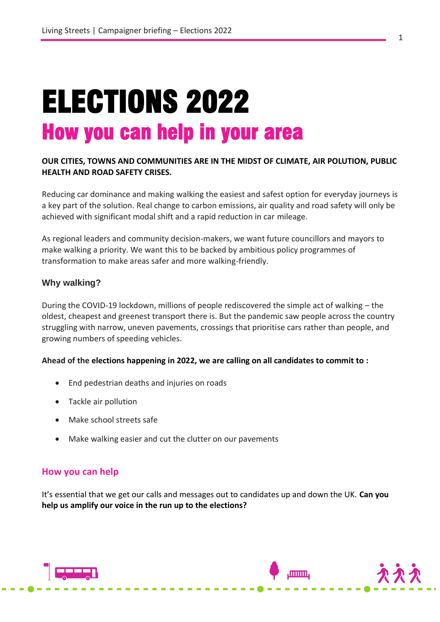# ELECTIONS 2022 How you can help in your area

### **OUR CITIES, TOWNS AND COMMUNITIES ARE IN THE MIDST OF CLIMATE, AIR POLUTION, PUBLIC HEALTH AND ROAD SAFETY CRISES.**

Reducing car dominance and making walking the easiest and safest option for everyday journeys is a key part of the solution. Real change to carbon emissions, air quality and road safety will only be achieved with significant modal shift and a rapid reduction in car mileage.

As regional leaders and community decision-makers, we want future councillors and mayors to make walking a priority. We want this to be backed by ambitious policy programmes of transformation to make areas safer and more walking-friendly.

#### **Why walking?**

During the COVID-19 lockdown, millions of people rediscovered the simple act of walking – the oldest, cheapest and greenest transport there is. But the pandemic saw people across the country struggling with narrow, uneven pavements, crossings that prioritise cars rather than people, and growing numbers of speeding vehicles.

#### **Ahead of the elections happening in 2022, we are calling on all candidates to commit to :**

- End pedestrian deaths and injuries on roads
- Tackle air pollution
- Make school streets safe
- Make walking easier and cut the clutter on our pavements

#### **How you can help**

It's essential that we get our calls and messages out to candidates up and down the UK. **Can you help us amplify our voice in the run up to the elections?**

**finnin**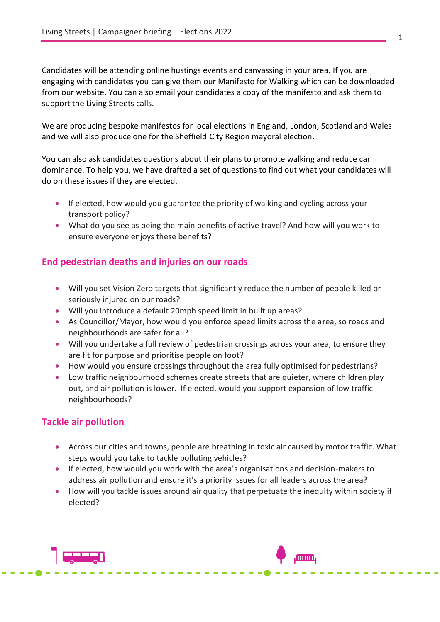Candidates will be attending online hustings events and canvassing in your area. If you are engaging with candidates you can give them our Manifesto for Walking which can be downloaded from our website. You can also email your candidates a copy of the manifesto and ask them to support the Living Streets calls.

We are producing bespoke manifestos for local elections in England, London, Scotland and Wales and we will also produce one for the Sheffield City Region mayoral election.

You can also ask candidates questions about their plans to promote walking and reduce car dominance. To help you, we have drafted a set of questions to find out what your candidates will do on these issues if they are elected.

- If elected, how would you guarantee the priority of walking and cycling across your transport policy?
- What do you see as being the main benefits of active travel? And how will you work to ensure everyone enjoys these benefits?

## **End pedestrian deaths and injuries on our roads**

- Will you set Vision Zero targets that significantly reduce the number of people killed or seriously injured on our roads?
- Will you introduce a default 20mph speed limit in built up areas?
- As Councillor/Mayor, how would you enforce speed limits across the area, so roads and neighbourhoods are safer for all?
- Will you undertake a full review of pedestrian crossings across your area, to ensure they are fit for purpose and prioritise people on foot?
- How would you ensure crossings throughout the area fully optimised for pedestrians?
- Low traffic neighbourhood schemes create streets that are quieter, where children play out, and air pollution is lower. If elected, would you support expansion of low traffic neighbourhoods?

## **Tackle air pollution**

- Across our cities and towns, people are breathing in toxic air caused by motor traffic. What steps would you take to tackle polluting vehicles?
- If elected, how would you work with the area's organisations and decision-makers to address air pollution and ensure it's a priority issues for all leaders across the area?
- How will you tackle issues around air quality that perpetuate the inequity within society if elected?

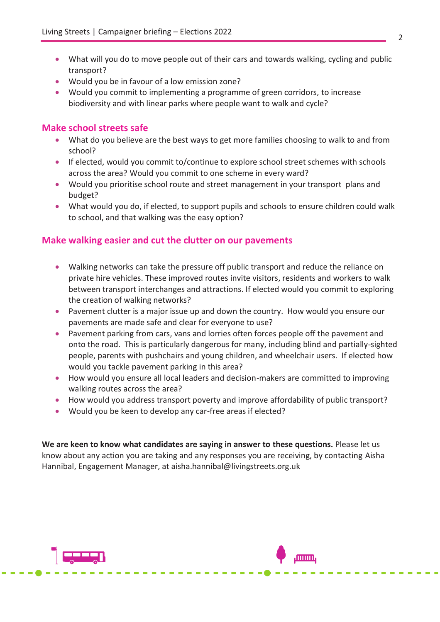- What will you do to move people out of their cars and towards walking, cycling and public transport?
- Would you be in favour of a low emission zone?
- Would you commit to implementing a programme of green corridors, to increase biodiversity and with linear parks where people want to walk and cycle?

## **Make school streets safe**

- What do you believe are the best ways to get more families choosing to walk to and from school?
- If elected, would you commit to/continue to explore school street schemes with schools across the area? Would you commit to one scheme in every ward?
- Would you prioritise school route and street management in your transport plans and budget?
- What would you do, if elected, to support pupils and schools to ensure children could walk to school, and that walking was the easy option?

## **Make walking easier and cut the clutter on our pavements**

- Walking networks can take the pressure off public transport and reduce the reliance on private hire vehicles. These improved routes invite visitors, residents and workers to walk between transport interchanges and attractions. If elected would you commit to exploring the creation of walking networks?
- Pavement clutter is a major issue up and down the country. How would you ensure our pavements are made safe and clear for everyone to use?
- Pavement parking from cars, vans and lorries often forces people off the pavement and onto the road. This is particularly dangerous for many, including blind and partially-sighted people, parents with pushchairs and young children, and wheelchair users. If elected how would you tackle pavement parking in this area?
- How would you ensure all local leaders and decision-makers are committed to improving walking routes across the area?
- How would you address transport poverty and improve affordability of public transport?
- Would you be keen to develop any car-free areas if elected?

**We are keen to know what candidates are saying in answer to these questions.** Please let us know about any action you are taking and any responses you are receiving, by contacting Aisha Hannibal, Engagement Manager, at aisha.hannibal@livingstreets.org.uk